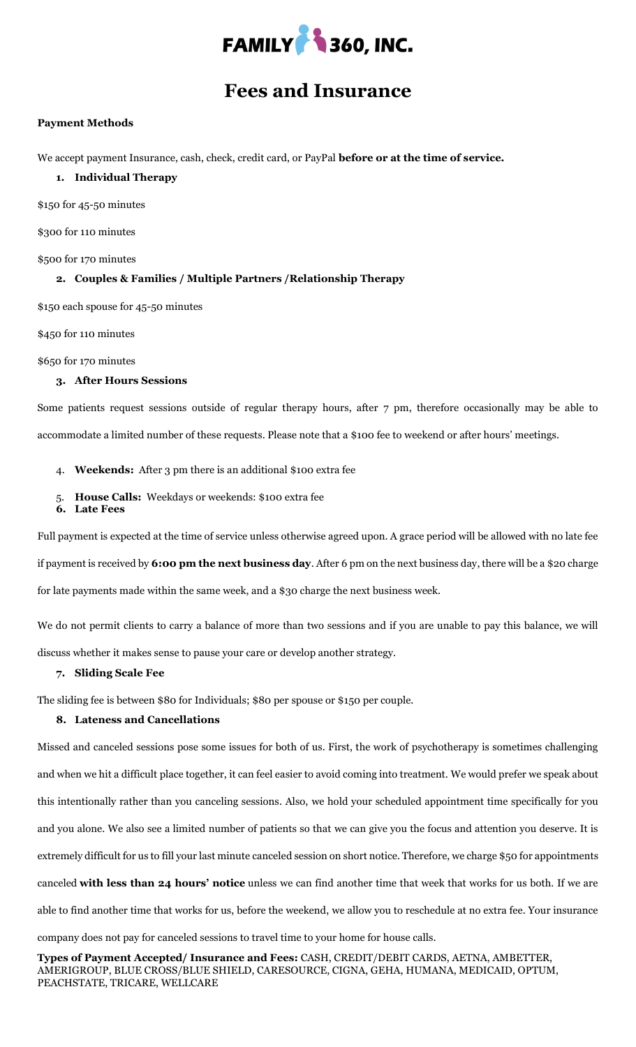

## **Fees and Insurance**

#### **Payment Methods**

We accept payment Insurance, cash, check, credit card, or PayPal **before or at the time of service.**

#### **1. Individual Therapy**

\$150 for 45-50 minutes

\$300 for 110 minutes

\$500 for 170 minutes

#### **2. Couples & Families / Multiple Partners /Relationship Therapy**

\$150 each spouse for 45-50 minutes

\$450 for 110 minutes

\$650 for 170 minutes

#### **3. After Hours Sessions**

Some patients request sessions outside of regular therapy hours, after 7 pm, therefore occasionally may be able to accommodate a limited number of these requests. Please note that a \$100 fee to weekend or after hours' meetings.

- 4. **Weekends:** After 3 pm there is an additional \$100 extra fee
- 5. **House Calls:** Weekdays or weekends: \$100 extra fee
- **6. Late Fees**

Full payment is expected at the time of service unless otherwise agreed upon. A grace period will be allowed with no late fee

if payment is received by **6:00 pm the next business day**. After 6 pm on the next business day, there will be a \$20 charge for late payments made within the same week, and a \$30 charge the next business week.

We do not permit clients to carry a balance of more than two sessions and if you are unable to pay this balance, we will

discuss whether it makes sense to pause your care or develop another strategy.

#### **7. Sliding Scale Fee**

The sliding fee is between \$80 for Individuals; \$80 per spouse or \$150 per couple.

#### **8. Lateness and Cancellations**

Missed and canceled sessions pose some issues for both of us. First, the work of psychotherapy is sometimes challenging and when we hit a difficult place together, it can feel easier to avoid coming into treatment. We would prefer we speak about this intentionally rather than you canceling sessions. Also, we hold your scheduled appointment time specifically for you and you alone. We also see a limited number of patients so that we can give you the focus and attention you deserve. It is extremely difficult for us to fill your last minute canceled session on short notice. Therefore, we charge \$50 for appointments canceled **with less than 24 hours' notice** unless we can find another time that week that works for us both. If we are able to find another time that works for us, before the weekend, we allow you to reschedule at no extra fee. Your insurance company does not pay for canceled sessions to travel time to your home for house calls.

**Types of Payment Accepted/ Insurance and Fees:** CASH, CREDIT/DEBIT CARDS, AETNA, AMBETTER, AMERIGROUP, BLUE CROSS/BLUE SHIELD, CARESOURCE, CIGNA, GEHA, HUMANA, MEDICAID, OPTUM, PEACHSTATE, TRICARE, WELLCARE